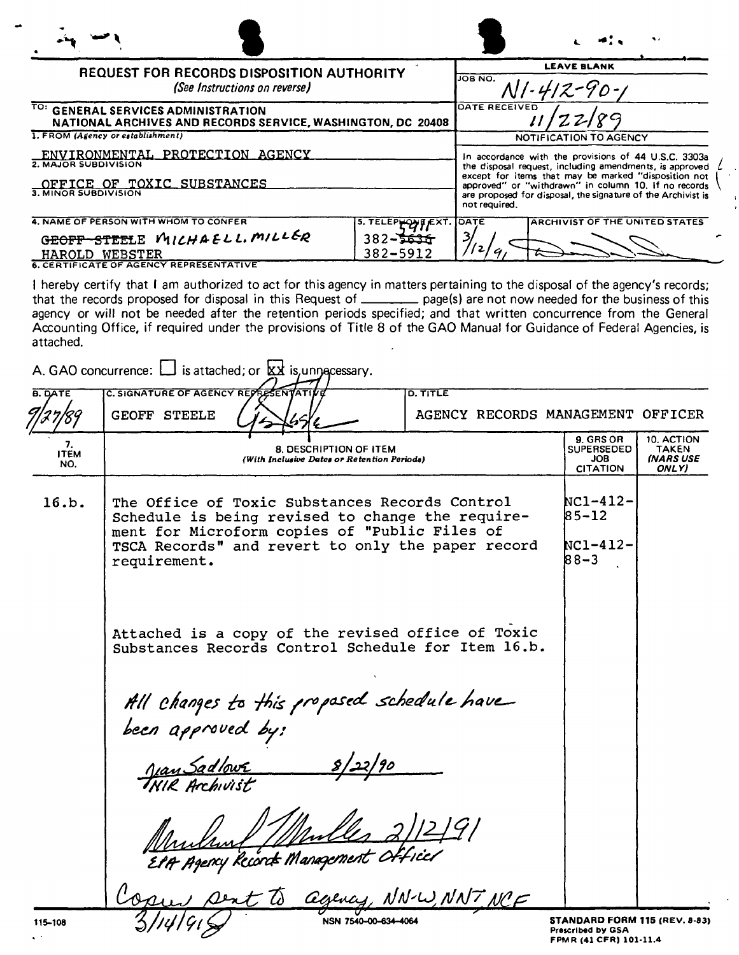|                                                                                                               |                                                      |                                                                                                                                                                                                                                                                                                                  | JW MI                                 |
|---------------------------------------------------------------------------------------------------------------|------------------------------------------------------|------------------------------------------------------------------------------------------------------------------------------------------------------------------------------------------------------------------------------------------------------------------------------------------------------------------|---------------------------------------|
| REQUEST FOR RECORDS DISPOSITION AUTHORITY<br>(See Instructions on reverse)                                    |                                                      | <b>LEAVE BLANK</b><br>JOB NO.                                                                                                                                                                                                                                                                                    |                                       |
| TO: GENERAL SERVICES ADMINISTRATION<br>NATIONAL ARCHIVES AND RECORDS SERVICE, WASHINGTON, DC 20408            |                                                      | DATE RECEIVED                                                                                                                                                                                                                                                                                                    |                                       |
| 1. FROM (Agency or establishment)                                                                             |                                                      | <b>NOTIFICATION TO AGENCY</b>                                                                                                                                                                                                                                                                                    |                                       |
| ENVIRONMENTAL PROTECTION AGENCY<br>2. MAJOR SUBDIVISION<br>OFFICE OF TOXIC SUBSTANCES<br>3. MINOR SUBDIVISION |                                                      | In accordance with the provisions of 44 U.S.C. 3303a<br>the disposal request, including amendments, is approved<br>except for items that may be marked "disposition not<br>approved" or "withdrawn" in column 10, If no records<br>are proposed for disposal, the signature of the Archivist is<br>not required. |                                       |
| 4. NAME OF PERSON WITH WHOM TO CONFER<br>GEOFF-STEELE MICHAELL. MILLER<br>HAROLD WEBSTER                      | 5. ТЕLЕРНОМПЕХТ.<br>382 <del>-5631</del><br>382-5912 | DATE                                                                                                                                                                                                                                                                                                             | <b>ARCHIVIST OF THE UNITED STATES</b> |

HAROLD WEBSTER 6. CERTIFICATE OF AGENCY REPRESENTATIVE

 $\hat{\mathbf{v}}$  :

I hereby certify that I am authorized to act for this agency in matters pertaining to the disposal of the agency's records; that the records proposed for disposal in this Request of **\_\_\_\_\_\_\_** page(s) are not now needed for the business of this agency or will not be needed after the retention periods specified; and that written concurrence from the General Accounting Office, if required under the provisions of Title 8 of the GAO Manual for Guidance of Federal Agencies, is attached.

|                          | A. GAO concurrence: $\Box$ is attached; or $\& x$ is unnecessary.                                                                                                                                                        |                                               |                                                           |                                                  |
|--------------------------|--------------------------------------------------------------------------------------------------------------------------------------------------------------------------------------------------------------------------|-----------------------------------------------|-----------------------------------------------------------|--------------------------------------------------|
| <b>B. DATE</b>           | C. SIGNATURE OF AGENCY REPRESENTATI<br><b>GEOFF STEELE</b>                                                                                                                                                               | D. TITLE<br>AGENCY RECORDS MANAGEMENT OFFICER |                                                           |                                                  |
| 7.<br><b>ITEM</b><br>NO. | <b>8. DESCRIPTION OF ITEM</b><br>(With Inclusive Dates or Retention Periods)                                                                                                                                             |                                               | 9. GRS OR<br><b>SUPERSEDED</b><br>JOB.<br><b>CITATION</b> | 10. ACTION<br>TAKEN<br><b>INARS USE</b><br>ONLY) |
| 16.b.                    | The Office of Toxic Substances Records Control<br>Schedule is being revised to change the require-<br>ment for Microform copies of "Public Files of<br>TSCA Records" and revert to only the paper record<br>requirement. |                                               | NC1-412-<br>$85 - 12$<br>NC1-412-<br>$88 - 3$             |                                                  |
|                          | Attached is a copy of the revised office of Toxic<br>Substances Records Control Schedule for Item 16.b.                                                                                                                  |                                               |                                                           |                                                  |
|                          | All changes to this proposed schedule have<br>been approved by:<br><u>Jan Sadlowr</u><br>THIR Archivist                                                                                                                  |                                               |                                                           |                                                  |
|                          | EPA Agency Records Management Officer                                                                                                                                                                                    | gency, NN-W, NNT NCE                          |                                                           |                                                  |
| 115-108                  |                                                                                                                                                                                                                          | NSN 7540-00-634-4064                          | STANDARD FORM 115 (REV. 8-83)                             |                                                  |

Prescribed by GSA FPMR (41 CFR) 101·11.4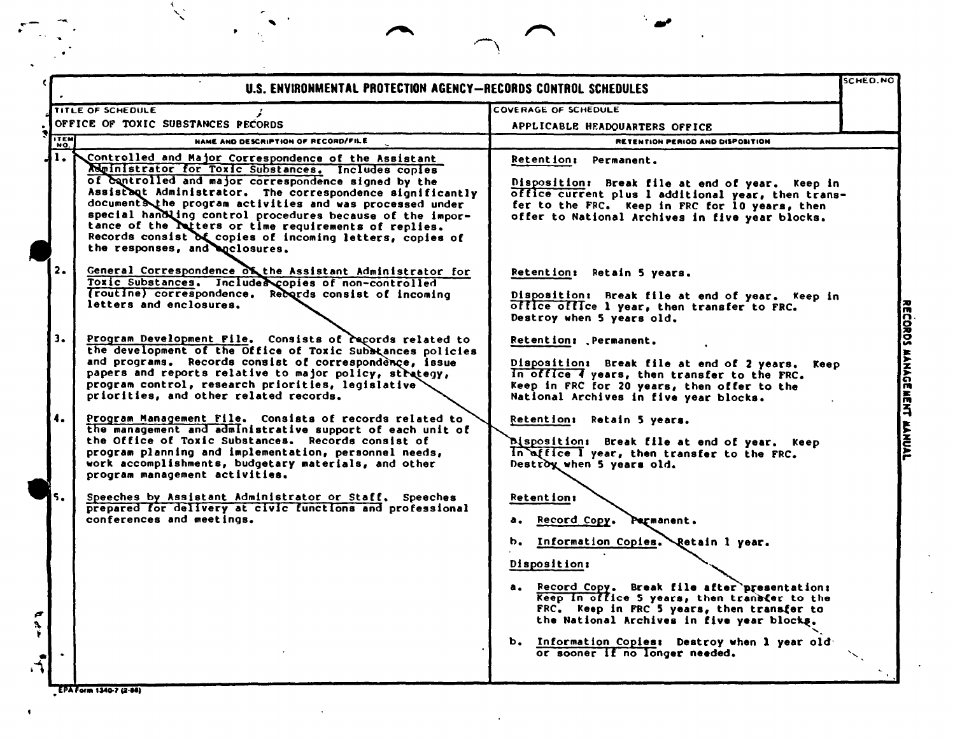| TITLE OF SCHEDULE<br>OFFICE OF TOXIC SUBSTANCES PECORDS<br>NAME AND DESCRIPTION OF RECORD/FILE<br>Controlled and Major Correspondence of the Assistant<br>Meinistrator for Toxic Substances. Includes copies<br>of controlled and major correspondence signed by the<br>Assistant Administrator. The correspondence significantly<br>documents the program activities and was processed under<br>special handling control procedures because of the impor-<br>tance of the latters or time requirements of replies.<br>Records consist of copies of incoming letters, copies of<br>the responses, and agclosures.<br>General Correspondence of the Assistant Administrator for | <b>COVERAGE OF SCHEDULE</b><br>APPLICABLE HEADQUARTERS OFFICE<br>RETENTION PERIOD AND DISPOSITION<br><b>Retention: Permanent.</b><br>Disposition: Break file at end of year. Keep in<br>office current plus 1 additional year, then trans-<br>fer to the FRC. Keep in FRC for 10 years, then<br>offer to National Archives in five year blocks.<br>Retention: Retain 5 years. |                                |
|--------------------------------------------------------------------------------------------------------------------------------------------------------------------------------------------------------------------------------------------------------------------------------------------------------------------------------------------------------------------------------------------------------------------------------------------------------------------------------------------------------------------------------------------------------------------------------------------------------------------------------------------------------------------------------|-------------------------------------------------------------------------------------------------------------------------------------------------------------------------------------------------------------------------------------------------------------------------------------------------------------------------------------------------------------------------------|--------------------------------|
|                                                                                                                                                                                                                                                                                                                                                                                                                                                                                                                                                                                                                                                                                |                                                                                                                                                                                                                                                                                                                                                                               |                                |
|                                                                                                                                                                                                                                                                                                                                                                                                                                                                                                                                                                                                                                                                                |                                                                                                                                                                                                                                                                                                                                                                               |                                |
|                                                                                                                                                                                                                                                                                                                                                                                                                                                                                                                                                                                                                                                                                |                                                                                                                                                                                                                                                                                                                                                                               |                                |
|                                                                                                                                                                                                                                                                                                                                                                                                                                                                                                                                                                                                                                                                                |                                                                                                                                                                                                                                                                                                                                                                               |                                |
| Toxic Substances. Includes copies of non-controlled<br>(routine) correspondence. Records consist of incoming<br>letters and enclosures.                                                                                                                                                                                                                                                                                                                                                                                                                                                                                                                                        | Disposition: Break file at end of year. Keep in<br>office office 1 year, then transfer to FRC.<br>Destroy when 5 years old.                                                                                                                                                                                                                                                   |                                |
| Program Development File. Consists of racords related to<br>the development of the Office of Toxic Subbtances policies<br>and programs. Records consist of correspondence, issue<br>papers and reports relative to major policy, strategy,<br>program control, research priorities, legislative<br>priorities, and other related records.                                                                                                                                                                                                                                                                                                                                      | Retention: Permanent.<br>Disposition: Break file at end of 2 years. Keep<br>In office 4 years, then transfer to the FRC.<br>Keep in FRC for 20 years, then offer to the<br>National Archives in five year blocks.                                                                                                                                                             |                                |
| Program Management File. Consists of records related to<br>the management and administrative support of each unit of<br>the Office of Toxic Substances. Records consist of<br>program planning and implementation, personnel needs,<br>work accomplishments, budgetary materials, and other<br>program management activities.                                                                                                                                                                                                                                                                                                                                                  | Retention: Retain 5 years.<br>Disposition: Break file at end of year. Keep<br>In office I year, then transfer to the FRC.<br>Destroy when 5 years old.                                                                                                                                                                                                                        |                                |
| Speeches by Assistant Administrator or Staff. Speeches<br>prepared for delivery at civic functions and professional<br>conferences and meetings.                                                                                                                                                                                                                                                                                                                                                                                                                                                                                                                               | <b>Retention:</b><br>a. Record Copy. Parmanent.<br>b. Information Copies. Retain 1 year.<br>Disposition:<br>a. Record Copy. Break file after presentation:<br>Keep in office 5 years, then transfer to the<br>FRC. Keep in FRC 5 years, then transfer to<br>the National Archives in five year blocks.<br>b. Information Copies: Destroy when 1 year old                      |                                |
|                                                                                                                                                                                                                                                                                                                                                                                                                                                                                                                                                                                                                                                                                |                                                                                                                                                                                                                                                                                                                                                                               | or sooner If no longer needed. |

 $\ddot{\phantom{a}}$ 

EPA Form 1340-7 (2-88)

NWMIL

 $\mathbf{v}$ 

 $\bullet$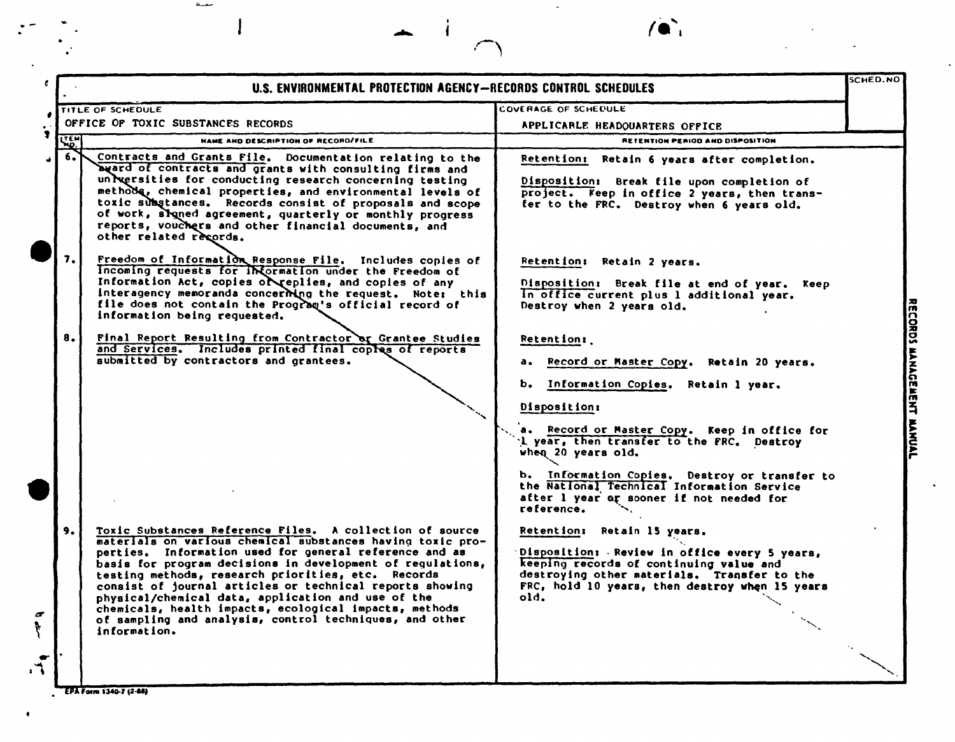|                       |            | U.S. ENVIRONMENTAL PROTECTION AGENCY-RECORDS CONTROL SCHEDULES                                                                                                                                                                                                                                                                                                                                                                                                                                                                                              |                                                                                                                                                                                                                                                                          | SCHED.NO |
|-----------------------|------------|-------------------------------------------------------------------------------------------------------------------------------------------------------------------------------------------------------------------------------------------------------------------------------------------------------------------------------------------------------------------------------------------------------------------------------------------------------------------------------------------------------------------------------------------------------------|--------------------------------------------------------------------------------------------------------------------------------------------------------------------------------------------------------------------------------------------------------------------------|----------|
|                       |            | <b>TITLE OF SCHEDULE</b><br>OFFICE OF TOXIC SUBSTANCES RECORDS                                                                                                                                                                                                                                                                                                                                                                                                                                                                                              | COVERAGE OF SCHEDULE<br>APPLICABLE HEADQUARTERS OFFICE                                                                                                                                                                                                                   |          |
|                       | <b>KEM</b> | <b>NAME AND DESCRIPTION OF RECORD/FILE</b>                                                                                                                                                                                                                                                                                                                                                                                                                                                                                                                  | <b>RETENTION PERIOD AND DISPOSITION</b>                                                                                                                                                                                                                                  |          |
|                       | 6.         | Contracts and Grants File. Documentation relating to the<br>beard of contracts and grants with consulting firms and<br>universities for conducting research concerning testing<br>methods, chemical properties, and environmental levels of<br>toxic substances. Records consist of proposals and scope<br>of work, signed agreement, quarterly or monthly progress<br>reports, vouchers and other financial documents, and<br>other related records.                                                                                                       | Retention: Retain 6 years after completion.<br>Disposition: Break file upon completion of<br>project. Keep in office 2 years, then trans-<br>fer to the FRC. Destroy when 6 years old.                                                                                   |          |
|                       | 7.         | Freedom of Information Response File. Includes copies of<br>Incoming requests for Information under the Freedom of<br>Information Act, copies of replies, and copies of any<br>interagency memoranda concerning the request. Note: this<br>file does not contain the Program's official record of<br>information being requested.                                                                                                                                                                                                                           | Retention: Retain 2 years.<br>Disposition: Break file at end of year. Keep<br>In office current plus 1 additional year.<br>Destroy when 2 years old.                                                                                                                     |          |
|                       | 8.1        | Final Report Resulting from Contractor or Grantee Studies<br>and Services. Includes printed final copies of reports<br>submitted by contractors and grantees.                                                                                                                                                                                                                                                                                                                                                                                               | Retention:<br>Record or Master Copy. Retain 20 years.<br>а.<br>Information Copies. Retain 1 year.<br>ь.<br>Disposition:                                                                                                                                                  |          |
|                       |            |                                                                                                                                                                                                                                                                                                                                                                                                                                                                                                                                                             | a. Record or Master Copy. Keep in office for<br>L year, then transfer to the FRC. Destroy<br>when 20 years old.<br>b. Information Copies. Destroy or transfer to<br>the National Technical Information Service<br>after 1 year or sooner if not needed for<br>reference. |          |
| $\boldsymbol{\sigma}$ | 9.         | Toxic Substances Reference Files. A collection of source<br>materials on various chemical substances having toxic pro-<br>perties. Information used for general reference and as<br>basis for program decisions in development of regulations,<br>testing methods, research priorities, etc. Records<br>consist of journal articles or technical reports showing<br>physical/chemical data, application and use of the<br>chemicals, health impacts, ecological impacts, methods<br>of sampling and analysis, control techniques, and other<br>information. | Retention: Retain 15 years.<br>Disposition: Review in office every 5 years,<br>keeping records of continuing value and<br>destroying other materials. Transfer to the<br>FRC, hold 10 years, then destroy when 15 years<br>old.                                          |          |
|                       |            |                                                                                                                                                                                                                                                                                                                                                                                                                                                                                                                                                             |                                                                                                                                                                                                                                                                          |          |

 $\frac{1}{2}$ 

 $\rightarrow$ 

 $\sqrt{2}$ 

 $\sim$ 

 $\ddot{\phantom{a}}$ 

 $\hat{\mathbf{r}}$ 

EPA Form 1340-7 (2-88)

 $\begin{aligned} \mathbf{N} & \mathbf{M} \mathbf{M} \mathbf{L} \end{aligned}$ 

مستفة

 $\overline{\mathbf{I}}$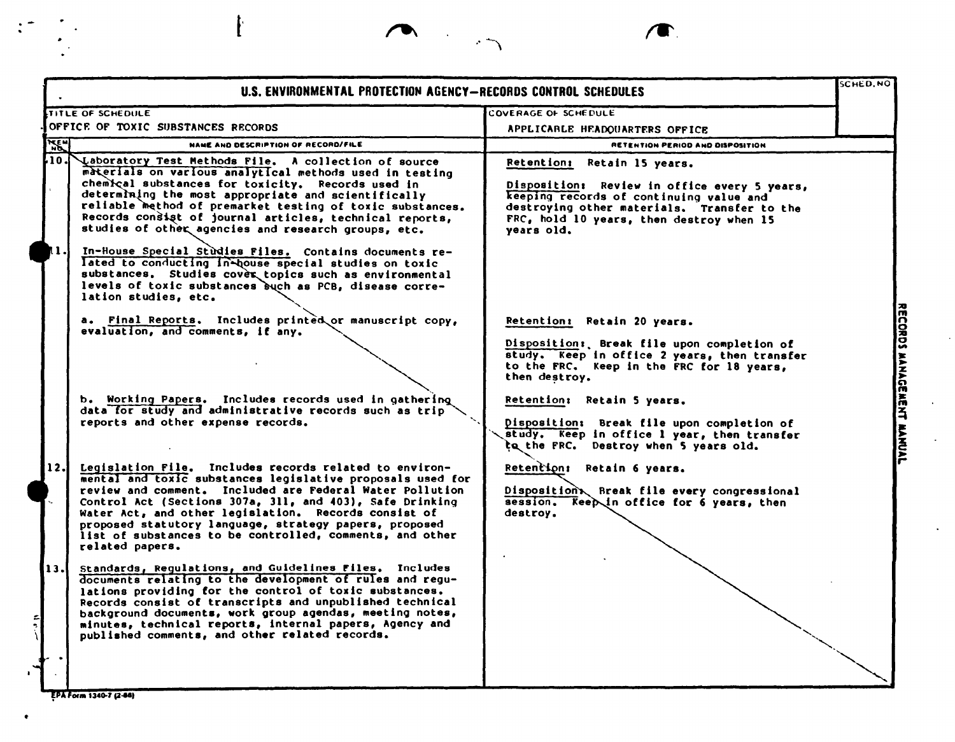|           | U.S. ENVIRONMENTAL PROTECTION AGENCY-RECORDS CONTROL SCHEDULES                                                                                                                                                                                                                                                                                                                                                                                                                                                                                                                                                                                                            |                                                                                                                                                                                                                                 | <b>SCHED.NO</b> |
|-----------|---------------------------------------------------------------------------------------------------------------------------------------------------------------------------------------------------------------------------------------------------------------------------------------------------------------------------------------------------------------------------------------------------------------------------------------------------------------------------------------------------------------------------------------------------------------------------------------------------------------------------------------------------------------------------|---------------------------------------------------------------------------------------------------------------------------------------------------------------------------------------------------------------------------------|-----------------|
|           | <b>TITLE OF SCHEDULE</b>                                                                                                                                                                                                                                                                                                                                                                                                                                                                                                                                                                                                                                                  | COVERAGE OF SCHEDULE                                                                                                                                                                                                            |                 |
|           | OFFICE OF TOXIC SUBSTANCES RECORDS                                                                                                                                                                                                                                                                                                                                                                                                                                                                                                                                                                                                                                        | APPLICARLE HEADQUARTERS OFFICE                                                                                                                                                                                                  |                 |
| <b>AE</b> | <b>NAME AND DESCRIPTION OF RECORD/FILE</b>                                                                                                                                                                                                                                                                                                                                                                                                                                                                                                                                                                                                                                | <b>RETENTION PERIOD AND DISPOSITION</b>                                                                                                                                                                                         |                 |
| 10.       | Laboratory Test Methods File. A collection of source<br>materials on various analytical methods used in testing<br>chemical substances for toxicity. Records used in<br>determining the most appropriate and scientifically<br>reliable method of premarket testing of toxic substances.<br>Records consist of journal articles, technical reports,<br>studies of other agencies and research groups, etc.<br>In-House Special Studies Files. Contains documents re-<br>lated to conducting in-house special studies on toxic<br>substances. Studies cover topics such as environmental<br>levels of toxic substances buch as PCB, disease corre-<br>lation studies, etc. | Retention: Retain 15 years.<br>Disposition: Review in office every 5 years,<br>keeping records of continuing value and<br>destroying other materials. Transfer to the<br>FRC, hold 10 years, then destroy when 15<br>years old. |                 |
|           | a. Final Reports. Includes printed or manuscript copy,<br>evaluation, and comments, if any.<br>b. Working Papers. Includes records used in gathering                                                                                                                                                                                                                                                                                                                                                                                                                                                                                                                      | Retention: Retain 20 years.<br>Disposition: Break file upon completion of<br>study. Keep in office 2 years, then transfer<br>to the FRC. Keep in the FRC for 18 years,<br>then destroy.                                         |                 |
|           | data for study and administrative records such as trip<br>reports and other expense records.                                                                                                                                                                                                                                                                                                                                                                                                                                                                                                                                                                              | Retention: Retain 5 years.<br>Disposition: Break file upon completion of<br>study. Keep in office 1 year, then transfer<br>to the FRC. Destroy when 5 years old.                                                                |                 |
| 12.I      | Legislation File. Includes records related to environ-<br>mental and toxic substances legislative proposals used for<br>review and comment. Included are Federal Water Pollution<br>Control Act (Sections 307a, 311, and 403), Safe Drinking<br>Water Act, and other legislation. Records consist of<br>proposed statutory language, strategy papers, proposed<br>list of substances to be controlled, comments, and other<br>related papers.                                                                                                                                                                                                                             | Retention: Retain 6 years.<br>Disposition Rreak file every congressional<br>session. Keep in office for 6 years, then<br>destroy.                                                                                               |                 |
| 13.       | Standards, Regulations, and Guidelines Files. Includes<br>documents relating to the development of rules and regu-<br>lations providing for the control of toxic substances.<br>Records consist of transcripts and unpublished technical<br>background documents, work group agendas, meeting notes,<br>minutes, technical reports, internal papers, Agency and<br>published comments, and other related records.                                                                                                                                                                                                                                                         |                                                                                                                                                                                                                                 |                 |
|           |                                                                                                                                                                                                                                                                                                                                                                                                                                                                                                                                                                                                                                                                           |                                                                                                                                                                                                                                 |                 |

 $\sqrt{ }$ 

 $\sim$ 

 $\sim$ 

 $\Box$ 

 $\mathcal{L}^{\pm}$ 

EPA Form 1340-7 (2-88)

 $\bullet$ 

 $\begin{aligned} &\frac{\text{NWML}}{\text{NWML}} \end{aligned}$ 

ľ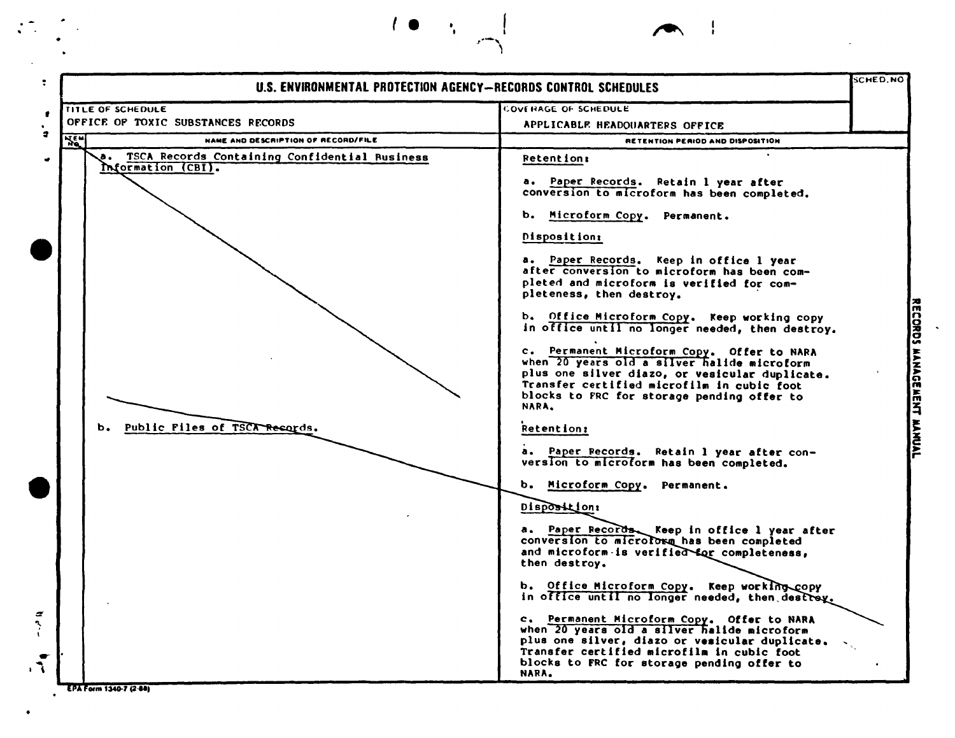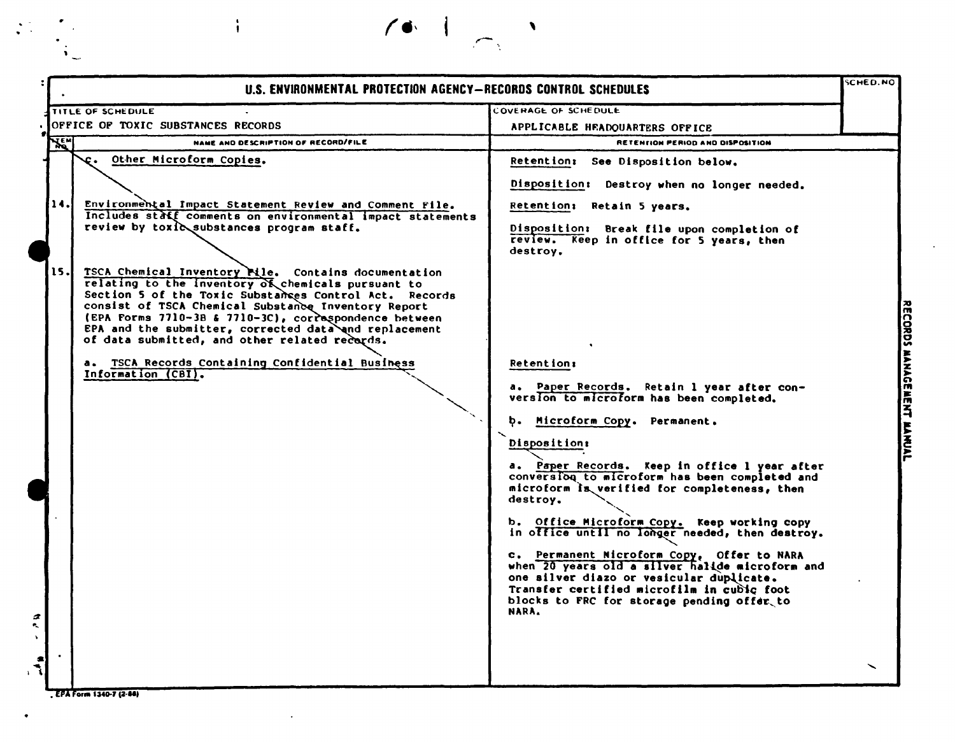|            | U.S. ENVIRONMENTAL PROTECTION AGENCY-RECORDS CONTROL SCHEDULES                                                                                                                                                                                                                                                                                                                                 |                                                                                                                                                                                                                                                       | <b>SCHED.NO</b> |
|------------|------------------------------------------------------------------------------------------------------------------------------------------------------------------------------------------------------------------------------------------------------------------------------------------------------------------------------------------------------------------------------------------------|-------------------------------------------------------------------------------------------------------------------------------------------------------------------------------------------------------------------------------------------------------|-----------------|
|            | TITLE OF SCHEDULE                                                                                                                                                                                                                                                                                                                                                                              | <b>COVERAGE OF SCHEDULE</b>                                                                                                                                                                                                                           |                 |
|            | OFFICE OF TOXIC SUBSTANCES RECORDS                                                                                                                                                                                                                                                                                                                                                             | APPLICABLE HEADQUARTERS OFFICE                                                                                                                                                                                                                        |                 |
| <b>XEN</b> | NAME AND DESCRIPTION OF RECORD/FILE                                                                                                                                                                                                                                                                                                                                                            | <b>RETENTION PERIOD AND DISPOSITION</b>                                                                                                                                                                                                               |                 |
|            | Other Microform Copies.<br>c.                                                                                                                                                                                                                                                                                                                                                                  | Retention: See Disposition below.                                                                                                                                                                                                                     |                 |
|            |                                                                                                                                                                                                                                                                                                                                                                                                | Disposition: Destroy when no longer needed.                                                                                                                                                                                                           |                 |
| 14.        | Environmental Impact Statement Review and Comment File.<br>Includes staff comments on environmental impact statements                                                                                                                                                                                                                                                                          | Retention: Retain 5 years.                                                                                                                                                                                                                            |                 |
|            | review by toxic substances program staff.                                                                                                                                                                                                                                                                                                                                                      | Disposition: Break file upon completion of<br>review. Keep in office for 5 years, then<br>destroy.                                                                                                                                                    |                 |
| 15.        | TSCA Chemical Inventory Mile. Contains documentation<br>relating to the inventory of chemicals pursuant to<br>Section 5 of the Toxic Substances Control Act. Records<br>consist of TSCA Chemical Substance Inventory Report<br>(EPA Forms 7710-3B & 7710-3C), correspondence between<br>EPA and the submitter, corrected data and replacement<br>of data submitted, and other related records. |                                                                                                                                                                                                                                                       |                 |
|            | a. TSCA Records Containing Confidential Business<br>Information (CBI).                                                                                                                                                                                                                                                                                                                         | <b>Retention:</b><br>a. Paper Records. Retain 1 year after con-<br>version to microform has been completed.                                                                                                                                           |                 |
|            |                                                                                                                                                                                                                                                                                                                                                                                                | b. Microform Copy. Permanent.                                                                                                                                                                                                                         |                 |
|            |                                                                                                                                                                                                                                                                                                                                                                                                | <b>Disposition:</b>                                                                                                                                                                                                                                   |                 |
|            |                                                                                                                                                                                                                                                                                                                                                                                                | a. Paper Records. Keep in office 1 year after<br>conversion to microform has been completed and<br>microform is verified for completeness, then<br>destroy.                                                                                           |                 |
|            |                                                                                                                                                                                                                                                                                                                                                                                                | b. Office Microform Copy. Keep working copy<br>in office until no longer needed, then destroy.                                                                                                                                                        |                 |
|            |                                                                                                                                                                                                                                                                                                                                                                                                | c. Permanent Nicroform Copy, Offer to NARA<br>when 20 years old a silver halide microform and<br>one silver diazo or vesicular duplicate.<br>Transfer certified microfilm in cubic foot<br>blocks to FRC for storage pending offer to<br><b>NARA.</b> |                 |
|            |                                                                                                                                                                                                                                                                                                                                                                                                |                                                                                                                                                                                                                                                       |                 |
|            |                                                                                                                                                                                                                                                                                                                                                                                                |                                                                                                                                                                                                                                                       |                 |

 $\bullet$  .

EPA Form 1340-7 (2-88)

 $\ddot{\phantom{a}}$ 

 $\begin{picture}(180,170)(0,0) \put(0,0){\line(1,0){10}} \put(10,0){\line(1,0){10}} \put(10,0){\line(1,0){10}} \put(10,0){\line(1,0){10}} \put(10,0){\line(1,0){10}} \put(10,0){\line(1,0){10}} \put(10,0){\line(1,0){10}} \put(10,0){\line(1,0){10}} \put(10,0){\line(1,0){10}} \put(10,0){\line(1,0){10}} \put(10,0){\line(1,0){10}} \put(10,$ 

 $\frac{1}{4}$ 

 $\mathcal{A}$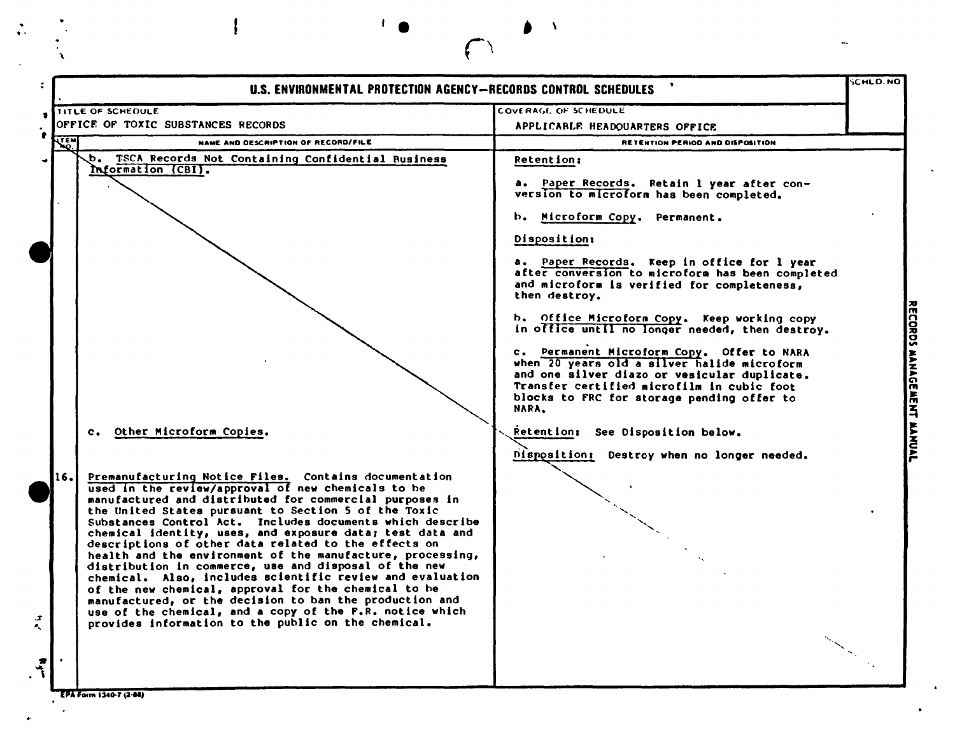|                      | U.S. ENVIRONMENTAL PROTECTION AGENCY-RECORDS CONTROL SCHEDULES                                                                                                                                                                                                                                                                                                                                                                                                                                                                                                                                                                                                                                                                                                                                                                                                           |                                                                                                                                                                                                                                                                                                                                                                                                                                                                                                                                                                                                                                                                                     | <b>SCHLD.NO</b> |
|----------------------|--------------------------------------------------------------------------------------------------------------------------------------------------------------------------------------------------------------------------------------------------------------------------------------------------------------------------------------------------------------------------------------------------------------------------------------------------------------------------------------------------------------------------------------------------------------------------------------------------------------------------------------------------------------------------------------------------------------------------------------------------------------------------------------------------------------------------------------------------------------------------|-------------------------------------------------------------------------------------------------------------------------------------------------------------------------------------------------------------------------------------------------------------------------------------------------------------------------------------------------------------------------------------------------------------------------------------------------------------------------------------------------------------------------------------------------------------------------------------------------------------------------------------------------------------------------------------|-----------------|
|                      | <b>TITLE OF SCHEDULE</b>                                                                                                                                                                                                                                                                                                                                                                                                                                                                                                                                                                                                                                                                                                                                                                                                                                                 | COVERAGE OF SCHEDULE                                                                                                                                                                                                                                                                                                                                                                                                                                                                                                                                                                                                                                                                |                 |
|                      | OFFICE OF TOXIC SUBSTANCES RECORDS                                                                                                                                                                                                                                                                                                                                                                                                                                                                                                                                                                                                                                                                                                                                                                                                                                       | APPLICABLE HEADOUARTERS OFFICE                                                                                                                                                                                                                                                                                                                                                                                                                                                                                                                                                                                                                                                      |                 |
| <b>WEND</b>          | NAME AND DESCRIPTION OF RECORD/FILE                                                                                                                                                                                                                                                                                                                                                                                                                                                                                                                                                                                                                                                                                                                                                                                                                                      | RETENTION PERIOD AND DISPOSITION                                                                                                                                                                                                                                                                                                                                                                                                                                                                                                                                                                                                                                                    |                 |
|                      | b. TSCA Records Not Containing Confidential Business<br>Information (CBI).                                                                                                                                                                                                                                                                                                                                                                                                                                                                                                                                                                                                                                                                                                                                                                                               | <b>Retention:</b><br>a. Paper Records. Retain 1 year after con-<br>version to microform has been completed.<br>b. Microform Copy. Permanent.<br>Disposition:<br>a. Paper Records. Keep in office for 1 year<br>after conversion to microform has been completed<br>and microform is verified for completeness,<br>then destroy.<br>b. Office Microform Copy. Keep working copy<br>in office until no longer needed, then destroy.<br>c. Permanent Microform Copy. Offer to NARA<br>when 20 years old a silver halide microform<br>and one silver diazo or vesicular duplicate.<br>Transfer certified microfilm in cubic foot<br>blocks to FRC for storage pending offer to<br>NARA. |                 |
| 16.<br>$\tilde{t}$ . | c. Other Microform Copies.<br>Premanufacturing Notice Files. Contains documentation<br>used in the review/approval of new chemicals to be<br>manufactured and distributed for commercial purposes in<br>the United States pursuant to Section 5 of the Toxic<br>Substances Control Act. Includes documents which describe<br>chemical identity, uses, and exposure data; test data and<br>descriptions of other data related to the effects on<br>health and the environment of the manufacture, processing,<br>distribution in commerce, use and disposal of the new<br>chemical. Also, includes scientific review and evaluation<br>of the new chemical, approval for the chemical to be<br>manufactured, or the decision to ban the production and<br>use of the chemical, and a copy of the F.R. notice which<br>provides information to the public on the chemical. | Retention: See Disposition below.<br>Disposition: Destroy when no longer needed.                                                                                                                                                                                                                                                                                                                                                                                                                                                                                                                                                                                                    |                 |

 $\frac{1}{\sqrt{2}}$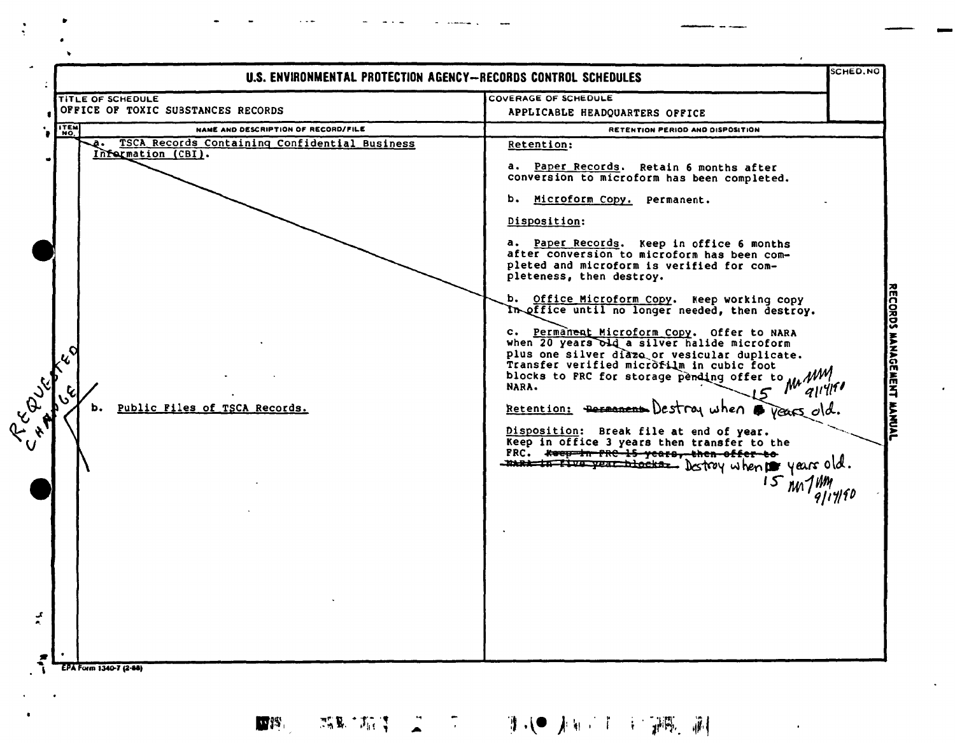|                                                                                                                                   | U.S. ENVIRONMENTAL PROTECTION AGENCY-RECORDS CONTROL SCHEDULES                                                                                                                                                                                                                                                                                                                                                                                                                                                                                                                                                                                                                                                                                                                                                                                                                                                                                                                 | SCHED, NO |
|-----------------------------------------------------------------------------------------------------------------------------------|--------------------------------------------------------------------------------------------------------------------------------------------------------------------------------------------------------------------------------------------------------------------------------------------------------------------------------------------------------------------------------------------------------------------------------------------------------------------------------------------------------------------------------------------------------------------------------------------------------------------------------------------------------------------------------------------------------------------------------------------------------------------------------------------------------------------------------------------------------------------------------------------------------------------------------------------------------------------------------|-----------|
| <b>TITLE OF SCHEDULE</b><br>OFFICE OF TOXIC SUBSTANCES RECORDS                                                                    | COVERAGE OF SCHEDULE<br>APPLICABLE HEADQUARTERS OFFICE                                                                                                                                                                                                                                                                                                                                                                                                                                                                                                                                                                                                                                                                                                                                                                                                                                                                                                                         |           |
| <b>ITEN</b><br>NAME AND DESCRIPTION OF RECORD/FILE                                                                                | RETENTION PERIOD AND DISPOSITION                                                                                                                                                                                                                                                                                                                                                                                                                                                                                                                                                                                                                                                                                                                                                                                                                                                                                                                                               |           |
| TSCA Records Containing Confidential Business<br>а.<br>Information (CBI).<br>C-E-B-S-S-E-D<br>Public Files of TSCA Records.<br>ь. | Retention:<br>a. Paper Records. Retain 6 months after<br>conversion to microform has been completed.<br>b. Microform Copy. Permanent.<br>Disposition:<br>a. Paper Records. Keep in office 6 months<br>after conversion to microform has been com-<br>pleted and microform is verified for com-<br>pleteness, then destroy.<br>b. Office Microform Copy. Keep working copy<br>In office until no longer needed, then destroy.<br>c. Permanent Microform Copy. Offer to NARA<br>when 20 years old a silver halide microform<br>plus one silver diazo or vesicular duplicate.<br>Transfer verified microfilm in cubic foot<br>Transfer verified microscopy and offer to MA<br>NARA.<br>Retention: Permanent Destroy when rears old<br>Disposition: Break file at end of year.<br>Keep in office 3 years then transfer to the<br>FRC. ***** FRC 15-years, then offer to<br>- The to the year blocks. Destroy when $\mathbf{p}$ years old.<br>$15$ year 14m<br>$\frac{15}{917}$ 140 |           |

 $\cdot$ 

 $\ddot{\phantom{0}}$ 

第五十五年 第二十四 第二十一章 新闻 第二十一章 新闻 医血管  $\mathbf{W}^{\text{BS}}$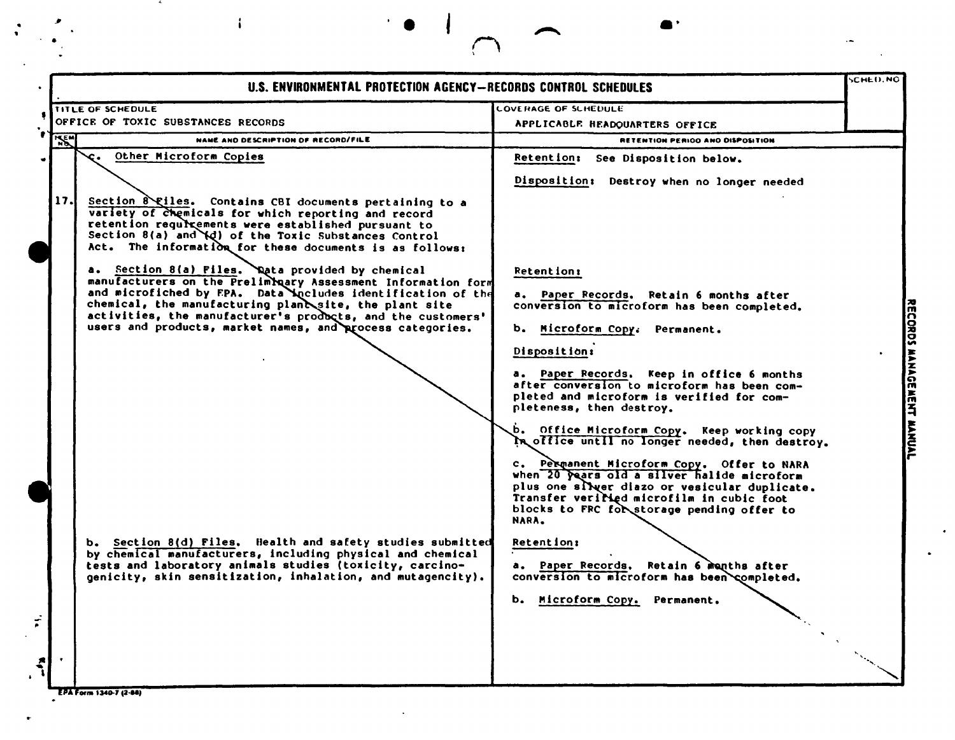|            | U.S. ENVIRONMENTAL PROTECTION AGENCY-RECORDS CONTROL SCHEDULES                                                                                                                                                                                                                                                                                                       |                                                                                                                                                                                                                                                                                                                                                                                                                                               | <b>SCHED.NO</b> |
|------------|----------------------------------------------------------------------------------------------------------------------------------------------------------------------------------------------------------------------------------------------------------------------------------------------------------------------------------------------------------------------|-----------------------------------------------------------------------------------------------------------------------------------------------------------------------------------------------------------------------------------------------------------------------------------------------------------------------------------------------------------------------------------------------------------------------------------------------|-----------------|
|            | <b>TITLE OF SCHEDULE</b><br>OFFICE OF TOXIC SUBSTANCES RECORDS                                                                                                                                                                                                                                                                                                       | <b>LOVERAGE OF SCHEDULE</b>                                                                                                                                                                                                                                                                                                                                                                                                                   |                 |
|            | NAME AND DESCRIPTION OF RECORD/FILE                                                                                                                                                                                                                                                                                                                                  | APPLICABLE HEADOUARTERS OFFICE                                                                                                                                                                                                                                                                                                                                                                                                                |                 |
| <b>ASK</b> | Other Microform Copies<br>c.                                                                                                                                                                                                                                                                                                                                         | RETENTION PERIOD AND DISPOSITION<br>Retention: See Disposition below.                                                                                                                                                                                                                                                                                                                                                                         |                 |
|            |                                                                                                                                                                                                                                                                                                                                                                      |                                                                                                                                                                                                                                                                                                                                                                                                                                               |                 |
| 17.        | Section 8 Eiles. Contains CBI documents pertaining to a<br>variety of chemicals for which reporting and record<br>retention requirements were established pursuant to<br>Section 8(a) and \d) of the Toxic Substances Control<br>Act. The information for these documents is as follows:                                                                             | Disposition: Destroy when no longer needed                                                                                                                                                                                                                                                                                                                                                                                                    |                 |
|            | a. Section 8(a) Files. Nata provided by chemical<br>manufacturers on the Prelimbuary Assessment Information form<br>and microfiched by FPA. Data Ancludes identification of the<br>chemical, the manufacturing planesite, the plant site<br>activities, the manufacturer's products, and the customers'<br>users and products, market names, and process categories. | <b>Retention:</b><br>a. Paper Records. Retain 6 months after<br>conversion to microform has been completed.<br>Microform Copy: Permanent.<br><b>b.</b><br>Disposition:<br>a. Paper Records. Keep in office 6 months<br>after conversion to microform has been com-<br>pleted and microform is verified for com-<br>pleteness, then destroy.<br>b. Office Microform Copy. Keep working copy<br>In office until no longer needed, then destroy. |                 |
|            | Section 8(d) Files. Health and safety studies submitted<br>by chemical manufacturers, including physical and chemical<br>tests and laboratory animals studies (toxicity, carcino-<br>genicity, skin sensitization, inhalation, and mutagencity).                                                                                                                     | c. Permanent Microform Copy. Offer to NARA<br>when 20 years old a silver halide microform<br>plus one silver diazo or vesicular duplicate.<br>Transfer verilied microfilm in cubic foot<br>blocks to FRC for storage pending offer to<br>NARA.<br>Retention:<br>a. Paper Records. Retain 6 manths after<br>conversion to microform has been completed.                                                                                        |                 |
|            |                                                                                                                                                                                                                                                                                                                                                                      | b. Microform Copy. Permanent.                                                                                                                                                                                                                                                                                                                                                                                                                 |                 |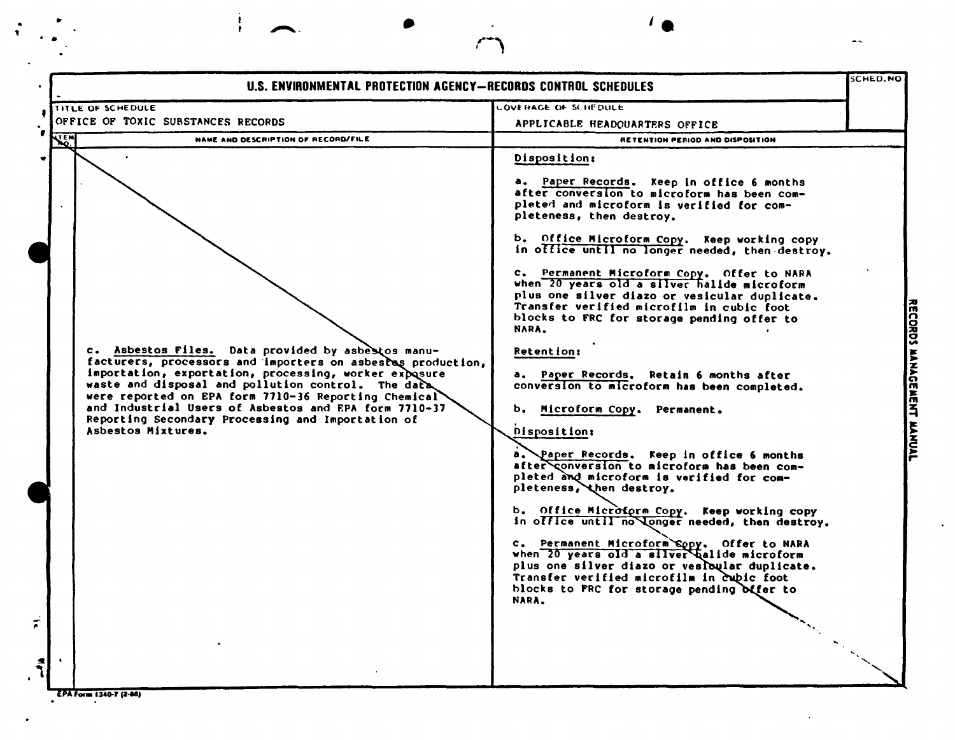| <b>TITLE OF SCHEDULE</b><br>OFFICE OF TOXIC SUBSTANCES RECORDS<br><b>NAME AND DESCRIPTION OF RECORD/FILE</b><br>NARA.<br>c. Asbestos Files. Data provided by asbestos manu-<br>facturers, processors and importers on asbestas production,<br>importation, exportation, processing, worker exposure<br>waste and disposal and pollution control. The data<br>were reported on EPA form 7710-36 Reporting Chemical<br>and Industrial Users of Asbestos and EPA form 7710-37<br>Reporting Secondary Processing and Importation of<br>Asbestos Mixtures. | <b>LOVERAGE OF SCHEDULE</b><br>APPLICABLE HEADQUARTERS OFFICE<br>RETENTION PERIOD AND DISPOSITION<br>Disposition:<br>a. Paper Records. Keep in office 6 months<br>after conversion to microform has been com-<br>pleted and microform is verified for com-<br>pleteness, then destroy.<br>b. Office Microform Copy. Keep working copy<br>in office until no longer needed, then destroy.<br>c. Permanent Microform Copy. Offer to NARA<br>when 20 years old a silver halide microform<br>plus one silver diazo or vesicular duplicate.<br>Transfer verified microfilm in cubic foot<br>blocks to FRC for storage pending offer to<br><b>Retention:</b><br>a. Paper Records. Retain 6 months after<br>conversion to microform has been completed. |  |
|-------------------------------------------------------------------------------------------------------------------------------------------------------------------------------------------------------------------------------------------------------------------------------------------------------------------------------------------------------------------------------------------------------------------------------------------------------------------------------------------------------------------------------------------------------|--------------------------------------------------------------------------------------------------------------------------------------------------------------------------------------------------------------------------------------------------------------------------------------------------------------------------------------------------------------------------------------------------------------------------------------------------------------------------------------------------------------------------------------------------------------------------------------------------------------------------------------------------------------------------------------------------------------------------------------------------|--|
|                                                                                                                                                                                                                                                                                                                                                                                                                                                                                                                                                       |                                                                                                                                                                                                                                                                                                                                                                                                                                                                                                                                                                                                                                                                                                                                                  |  |
|                                                                                                                                                                                                                                                                                                                                                                                                                                                                                                                                                       |                                                                                                                                                                                                                                                                                                                                                                                                                                                                                                                                                                                                                                                                                                                                                  |  |
|                                                                                                                                                                                                                                                                                                                                                                                                                                                                                                                                                       |                                                                                                                                                                                                                                                                                                                                                                                                                                                                                                                                                                                                                                                                                                                                                  |  |
| NARA.                                                                                                                                                                                                                                                                                                                                                                                                                                                                                                                                                 | b. Microform Copy. Permanent.<br>Disposition:<br>a. Paper Records. Keep in office 6 months<br>after conversion to microform has been com-<br>pleted and microform is verified for com-<br>pleteness, then destroy.<br>b. Office Microform Copy. Keep working copy<br>in office until no longer needed, then destroy.<br>c. Permanent Microform Sopy. Offer to NARA<br>when 20 years old a silver halide microform<br>plus one silver diazo or vesloular duplicate.<br>Transfer verified microfilm in cubic foot<br>blocks to FRC for storage pending offer to                                                                                                                                                                                    |  |

NWWIL

 $\bullet$  as

 $\frac{1}{\sqrt{2}}$